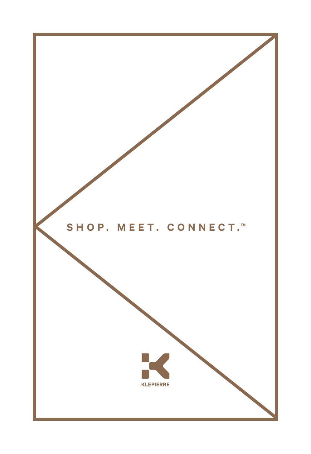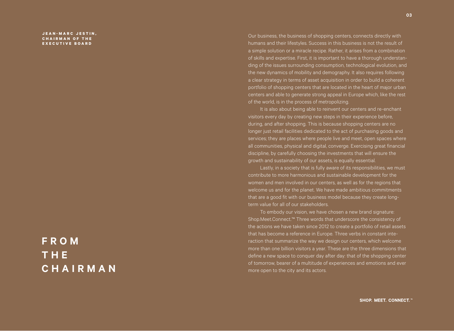**J E A N - M A R C J E S T I N , C H A I R M A N O F T H E EXECUTIVE BOARD**

## **F R O M T H E CHAIRMAN**

Our business, the business of shopping centers, connects directly with humans and their lifestyles. Success in this business is not the result of a simple solution or a miracle recipe. Rather, it arises from a combination of skills and expertise. First, it is important to have a thorough understanding of the issues surrounding consumption, technological evolution, and the new dynamics of mobility and demography. It also requires following a clear strategy in terms of asset acquisition in order to build a coherent portfolio of shopping centers that are located in the heart of major urban centers and able to generate strong appeal in Europe which, like the rest of the world, is in the process of metropolizing.

It is also about being able to reinvent our centers and re-enchant visitors every day by creating new steps in their experience before, during, and after shopping. This is because shopping centers are no longer just retail facilities dedicated to the act of purchasing goods and services; they are places where people live and meet, open spaces where all communities, physical and digital, converge. Exercising great financial discipline, by carefully choosing the investments that will ensure the growth and sustainability of our assets, is equally essential.

Lastly, in a society that is fully aware of its responsibilities, we must contribute to more harmonious and sustainable development for the women and men involved in our centers, as well as for the regions that welcome us and for the planet. We have made ambitious commitments that are a good fit with our business model because they create longterm value for all of our stakeholders.

To embody our vision, we have chosen a new brand signature: Shop.Meet.Connect.™ Three words that underscore the consistency of the actions we have taken since 2012 to create a portfolio of retail assets that has become a reference in Europe. Three verbs in constant interaction that summarize the way we design our centers, which welcome more than one billion visitors a year. These are the three dimensions that define a new space to conquer day after day: that of the shopping center of tomorrow, bearer of a multitude of experiences and emotions and ever more open to the city and its actors.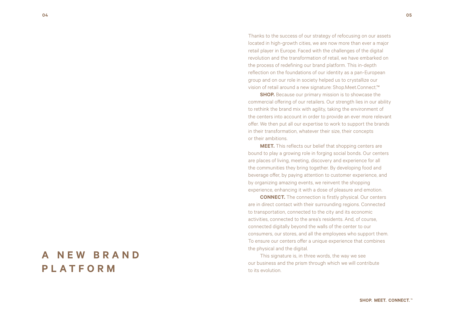Thanks to the success of our strategy of refocusing on our assets located in high-growth cities, we are now more than ever a major retail player in Europe. Faced with the challenges of the digital revolution and the transformation of retail, we have embarked on the process of redefining our brand platform. This in-depth reflection on the foundations of our identity as a pan-European group and on our role in society helped us to crystallize our vision of retail around a new signature: Shop.Meet.Connect.™

**SHOP.** Because our primary mission is to showcase the commercial offering of our retailers. Our strength lies in our ability to rethink the brand mix with agility, taking the environment of the centers into account in order to provide an ever more relevant offer. We then put all our expertise to work to support the brands in their transformation, whatever their size, their concepts or their ambitions.

**MEET.** This reflects our belief that shopping centers are bound to play a growing role in forging social bonds. Our centers are places of living, meeting, discovery and experience for all the communities they bring together. By developing food and beverage offer, by paying attention to customer experience, and by organizing amazing events, we reinvent the shopping experience, enhancing it with a dose of pleasure and emotion.

**CONNECT.** The connection is firstly physical. Our centers are in direct contact with their surrounding regions. Connected to transportation, connected to the city and its economic activities, connected to the area's residents. And, of course, connected digitally beyond the walls of the center to our consumers, our stores, and all the employees who support them. To ensure our centers offer a unique experience that combines the physical and the digital.

This signature is, in three words, the way we see our business and the prism through which we will contribute to its evolution.

## **A N E W B R A N D PLATFORM**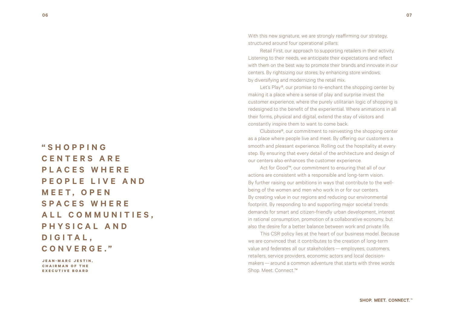**" S H O P P I N G C E N T E R S A R E P L A C E S W H E R E P E O P L E L I V E A N D M E E T , O P E N S P A C E S W H E R E**  A L L COMMUNITIES. **PHYSICAL AND D I G I T A L , CONVERGE. "**

**JEAN-MARC JESTIN, CHAIRMAN OF THE EXECUTIVE BOARD**

With this new signature, we are strongly reaffirming our strategy, structured around four operational pillars:

Retail First, our approach to supporting retailers in their activity. Listening to their needs, we anticipate their expectations and reflect with them on the best way to promote their brands and innovate in our centers. By rightsizing our stores; by enhancing store windows; by diversifying and modernizing the retail mix.

Let's Play®, our promise to re-enchant the shopping center by making it a place where a sense of play and surprise invest the customer experience, where the purely utilitarian logic of shopping is redesigned to the benefit of the experiential. Where animations in all their forms, physical and digital, extend the stay of visitors and constantly inspire them to want to come back.

Clubstore®, our commitment to reinvesting the shopping center as a place where people live and meet. By offering our customers a smooth and pleasant experience. Rolling out the hospitality at every step. By ensuring that every detail of the architecture and design of our centers also enhances the customer experience.

Act for Good™, our commitment to ensuring that all of our actions are consistent with a responsible and long-term vision. By further raising our ambitions in ways that contribute to the wellbeing of the women and men who work in or for our centers. By creating value in our regions and reducing our environmental footprint. By responding to and supporting major societal trends: demands for smart and citizen-friendly urban development, interest in rational consumption, promotion of a collaborative economy, but also the desire for a better balance between work and private life.

This CSR policy lies at the heart of our business model. Because we are convinced that it contributes to the creation of long-term value and federates all our stakeholders — employees, customers, retailers, service providers, economic actors and local decisionmakers — around a common adventure that starts with three words: Shop. Meet. Connect.™